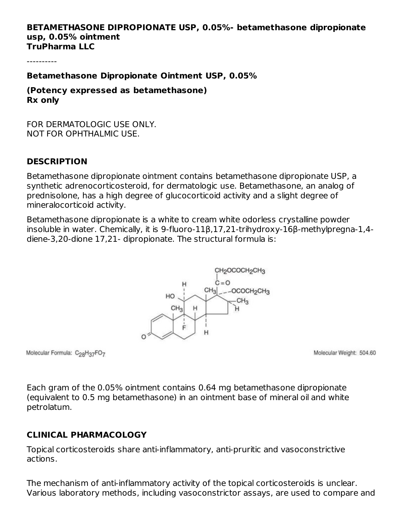#### **BETAMETHASONE DIPROPIONATE USP, 0.05%- betamethasone dipropionate usp, 0.05% ointment TruPharma LLC**

----------

**Betamethasone Dipropionate Ointment USP, 0.05%**

**(Potency expressed as betamethasone) Rx only**

FOR DERMATOLOGIC USE ONLY. NOT FOR OPHTHALMIC USE.

#### **DESCRIPTION**

Betamethasone dipropionate ointment contains betamethasone dipropionate USP, a synthetic adrenocorticosteroid, for dermatologic use. Betamethasone, an analog of prednisolone, has a high degree of glucocorticoid activity and a slight degree of mineralocorticoid activity.

Betamethasone dipropionate is a white to cream white odorless crystalline powder insoluble in water. Chemically, it is 9-fluoro-11β,17,21-trihydroxy-16β-methylpregna-1,4 diene-3,20-dione 17,21- dipropionate. The structural formula is:



Molecular Formula: C<sub>28</sub>H<sub>37</sub>FO<sub>7</sub>

Molecular Weight: 504.60

Each gram of the 0.05% ointment contains 0.64 mg betamethasone dipropionate (equivalent to 0.5 mg betamethasone) in an ointment base of mineral oil and white petrolatum.

#### **CLINICAL PHARMACOLOGY**

Topical corticosteroids share anti-inflammatory, anti-pruritic and vasoconstrictive actions.

The mechanism of anti-inflammatory activity of the topical corticosteroids is unclear. Various laboratory methods, including vasoconstrictor assays, are used to compare and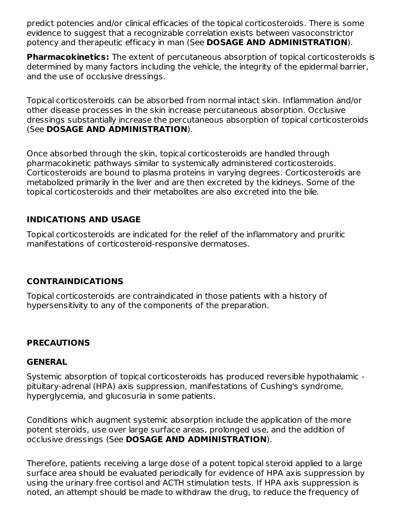predict potencies and/or clinical efficacies of the topical corticosteroids. There is some evidence to suggest that a recognizable correlation exists between vasoconstrictor potency and therapeutic efficacy in man (See **DOSAGE AND ADMINISTRATION**).

**Pharmacokinetics:** The extent of percutaneous absorption of topical corticosteroids is determined by many factors including the vehicle, the integrity of the epidermal barrier, and the use of occlusive dressings.

Topical corticosteroids can be absorbed from normal intact skin. Inflammation and/or other disease processes in the skin increase percutaneous absorption. Occlusive dressings substantially increase the percutaneous absorption of topical corticosteroids (See **DOSAGE AND ADMINISTRATION**).

Once absorbed through the skin, topical corticosteroids are handled through pharmacokinetic pathways similar to systemically administered corticosteroids. Corticosteroids are bound to plasma proteins in varying degrees. Corticosteroids are metabolized primarily in the liver and are then excreted by the kidneys. Some of the topical corticosteroids and their metabolites are also excreted into the bile.

## **INDICATIONS AND USAGE**

Topical corticosteroids are indicated for the relief of the inflammatory and pruritic manifestations of corticosteroid-responsive dermatoses.

## **CONTRAINDICATIONS**

Topical corticosteroids are contraindicated in those patients with a history of hypersensitivity to any of the components of the preparation.

#### **PRECAUTIONS**

#### **GENERAL**

Systemic absorption of topical corticosteroids has produced reversible hypothalamic pituitary-adrenal (HPA) axis suppression, manifestations of Cushing's syndrome, hyperglycemia, and glucosuria in some patients.

Conditions which augment systemic absorption include the application of the more potent steroids, use over large surface areas, prolonged use, and the addition of occlusive dressings (See **DOSAGE AND ADMINISTRATION**).

Therefore, patients receiving a large dose of a potent topical steroid applied to a large surface area should be evaluated periodically for evidence of HPA axis suppression by using the urinary free cortisol and ACTH stimulation tests. If HPA axis suppression is noted, an attempt should be made to withdraw the drug, to reduce the frequency of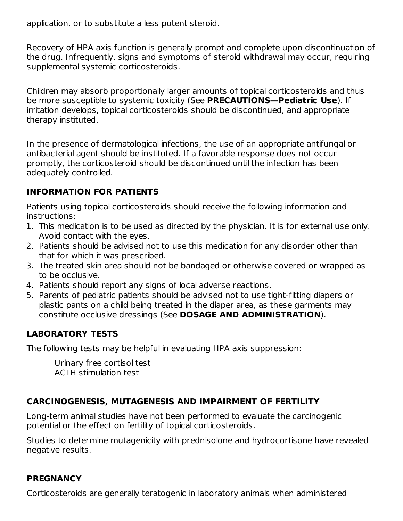application, or to substitute a less potent steroid.

Recovery of HPA axis function is generally prompt and complete upon discontinuation of the drug. Infrequently, signs and symptoms of steroid withdrawal may occur, requiring supplemental systemic corticosteroids.

Children may absorb proportionally larger amounts of topical corticosteroids and thus be more susceptible to systemic toxicity (See **PRECAUTIONS—Pediatric Use**). If irritation develops, topical corticosteroids should be discontinued, and appropriate therapy instituted.

In the presence of dermatological infections, the use of an appropriate antifungal or antibacterial agent should be instituted. If a favorable response does not occur promptly, the corticosteroid should be discontinued until the infection has been adequately controlled.

## **INFORMATION FOR PATIENTS**

Patients using topical corticosteroids should receive the following information and instructions:

- 1. This medication is to be used as directed by the physician. It is for external use only. Avoid contact with the eyes.
- 2. Patients should be advised not to use this medication for any disorder other than that for which it was prescribed.
- 3. The treated skin area should not be bandaged or otherwise covered or wrapped as to be occlusive.
- 4. Patients should report any signs of local adverse reactions.
- 5. Parents of pediatric patients should be advised not to use tight-fitting diapers or plastic pants on a child being treated in the diaper area, as these garments may constitute occlusive dressings (See **DOSAGE AND ADMINISTRATION**).

## **LABORATORY TESTS**

The following tests may be helpful in evaluating HPA axis suppression:

Urinary free cortisol test ACTH stimulation test

## **CARCINOGENESIS, MUTAGENESIS AND IMPAIRMENT OF FERTILITY**

Long-term animal studies have not been performed to evaluate the carcinogenic potential or the effect on fertility of topical corticosteroids.

Studies to determine mutagenicity with prednisolone and hydrocortisone have revealed negative results.

## **PREGNANCY**

Corticosteroids are generally teratogenic in laboratory animals when administered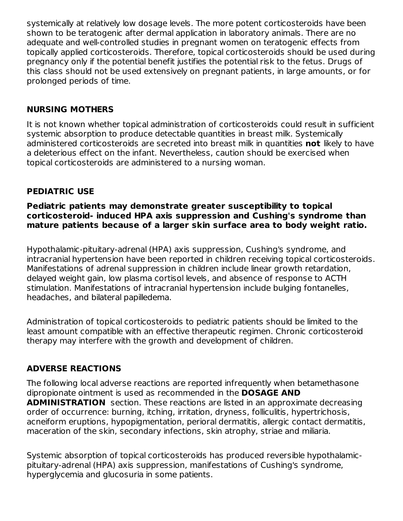systemically at relatively low dosage levels. The more potent corticosteroids have been shown to be teratogenic after dermal application in laboratory animals. There are no adequate and well-controlled studies in pregnant women on teratogenic effects from topically applied corticosteroids. Therefore, topical corticosteroids should be used during pregnancy only if the potential benefit justifies the potential risk to the fetus. Drugs of this class should not be used extensively on pregnant patients, in large amounts, or for prolonged periods of time.

### **NURSING MOTHERS**

It is not known whether topical administration of corticosteroids could result in sufficient systemic absorption to produce detectable quantities in breast milk. Systemically administered corticosteroids are secreted into breast milk in quantities **not** likely to have a deleterious effect on the infant. Nevertheless, caution should be exercised when topical corticosteroids are administered to a nursing woman.

### **PEDIATRIC USE**

**Pediatric patients may demonstrate greater susceptibility to topical corticosteroid- induced HPA axis suppression and Cushing's syndrome than mature patients because of a larger skin surface area to body weight ratio.**

Hypothalamic-pituitary-adrenal (HPA) axis suppression, Cushing's syndrome, and intracranial hypertension have been reported in children receiving topical corticosteroids. Manifestations of adrenal suppression in children include linear growth retardation, delayed weight gain, low plasma cortisol levels, and absence of response to ACTH stimulation. Manifestations of intracranial hypertension include bulging fontanelles, headaches, and bilateral papilledema.

Administration of topical corticosteroids to pediatric patients should be limited to the least amount compatible with an effective therapeutic regimen. Chronic corticosteroid therapy may interfere with the growth and development of children.

#### **ADVERSE REACTIONS**

The following local adverse reactions are reported infrequently when betamethasone dipropionate ointment is used as recommended in the **DOSAGE AND ADMINISTRATION** section. These reactions are listed in an approximate decreasing order of occurrence: burning, itching, irritation, dryness, folliculitis, hypertrichosis, acneiform eruptions, hypopigmentation, perioral dermatitis, allergic contact dermatitis, maceration of the skin, secondary infections, skin atrophy, striae and miliaria.

Systemic absorption of topical corticosteroids has produced reversible hypothalamicpituitary-adrenal (HPA) axis suppression, manifestations of Cushing's syndrome, hyperglycemia and glucosuria in some patients.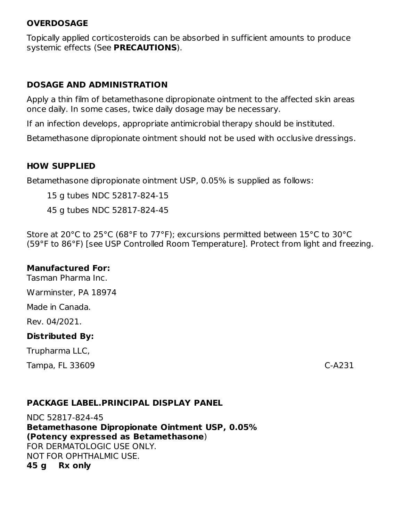#### **OVERDOSAGE**

Topically applied corticosteroids can be absorbed in sufficient amounts to produce systemic effects (See **PRECAUTIONS**).

#### **DOSAGE AND ADMINISTRATION**

Apply a thin film of betamethasone dipropionate ointment to the affected skin areas once daily. In some cases, twice daily dosage may be necessary.

If an infection develops, appropriate antimicrobial therapy should be instituted.

Betamethasone dipropionate ointment should not be used with occlusive dressings.

#### **HOW SUPPLIED**

Betamethasone dipropionate ointment USP, 0.05% is supplied as follows:

15 g tubes NDC 52817-824-15

45 g tubes NDC 52817-824-45

Store at 20°C to 25°C (68°F to 77°F); excursions permitted between 15°C to 30°C (59°F to 86°F) [see USP Controlled Room Temperature]. Protect from light and freezing.

#### **Manufactured For:**

Tasman Pharma Inc.

Warminster, PA 18974

Made in Canada.

Rev. 04/2021.

#### **Distributed By:**

Trupharma LLC,

Tampa, FL 33609 C-A231

#### **PACKAGE LABEL.PRINCIPAL DISPLAY PANEL**

NDC 52817-824-45 **Betamethasone Dipropionate Ointment USP, 0.05% (Potency expressed as Betamethasone**) FOR DERMATOLOGIC USE ONLY. NOT FOR OPHTHALMIC USE. **45 g Rx only**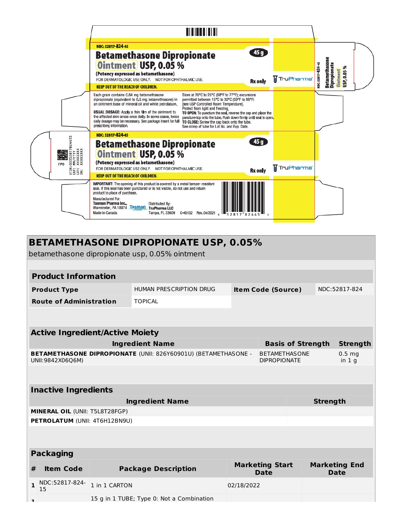|                                                                                           | <b>THEFTH I</b>                                                                                                                                                                                                                                                                                                                                                                                                                                                                                                                                                                                                                                                                                                                                                                                   |                        |                                                                                             |
|-------------------------------------------------------------------------------------------|---------------------------------------------------------------------------------------------------------------------------------------------------------------------------------------------------------------------------------------------------------------------------------------------------------------------------------------------------------------------------------------------------------------------------------------------------------------------------------------------------------------------------------------------------------------------------------------------------------------------------------------------------------------------------------------------------------------------------------------------------------------------------------------------------|------------------------|---------------------------------------------------------------------------------------------|
|                                                                                           | NDC: 52817-824-45<br>45g<br><b>Betamethasone Dipropionate</b><br>Ointment USP, 0.05%<br>(Potency expressed as betamethasone)<br>FOR DERMATOLOGIC USE ONLY. NOT FOR OPHTHALMIC USE.                                                                                                                                                                                                                                                                                                                                                                                                                                                                                                                                                                                                                | TruPharma <sup>T</sup> | <b>Betamethaso</b><br>VDC: 52817-824-45<br>Dipropionat<br>*<br><b>Ointment</b><br>USP, 0.05 |
|                                                                                           | <b>Rx</b> only<br><b>KEEP OUT OF THE REACH OF CHILDREN.</b>                                                                                                                                                                                                                                                                                                                                                                                                                                                                                                                                                                                                                                                                                                                                       |                        |                                                                                             |
|                                                                                           | Store at 20°C to 25°C (68°F to 77°F); excursions<br>Each gram contains 0.64 mg betamethasone<br>permitted between 15°C to 30°C (59°F to 86°F)<br>dipropionate (equivalent to 0.5 mg betamethasone) in<br>an ointment base of mineral oil and white petrolatum.<br>[see USP Controlled Room Temperature].<br>Protect from light and freezing<br><b>USUAL DOSAGE:</b> Apply a thin film of the ointment to<br>TO OPEN: To puncture the seal, reverse the cap and place the<br>the affected skin areas once daily. In some cases, twice<br>puncture-top onto the tube. Push down firmly until seal is open.<br>daily dosage may be necessary. See package insert for full<br>TO CLOSE: Screw the cap back onto the tube.<br>prescribing information.<br>See crimp of tube for Lot No. and Exp. Date. |                        |                                                                                             |
| 455<br>$\overline{8}$<br><b>XXXXXXXX</b><br>XXXXXXXX<br><b>FPO</b><br>EXP:<br>EXP:<br>SA: | NDC: 52817-824-45<br>45g<br><b>Betamethasone Dipropionate</b><br>Ointment USP, 0.05 %<br>(Potency expressed as betamethasone)<br>FOR DERMATOLOGIC USE ONLY. NOT FOR OPHTHALMIC USE.<br><b>Rx</b> only                                                                                                                                                                                                                                                                                                                                                                                                                                                                                                                                                                                             | <b>TruPharma</b>       |                                                                                             |
|                                                                                           | <b>KEEP OUT OF THE REACH OF CHILDREN.</b>                                                                                                                                                                                                                                                                                                                                                                                                                                                                                                                                                                                                                                                                                                                                                         |                        |                                                                                             |
|                                                                                           | <b>IMPORTANT:</b> The opening of this product is covered by a metal tamper-resistant<br>seal. If this seal has been punctured or is not visible, do not use and return<br>product to place of purchase.<br>Manufactured For:<br>Tasman Pharma Inc.,<br>Distributed By:<br>Warminster, PA 18974 Tasman TruPharma LLC<br>Made in Canada<br>Tampa, FL 33609<br>C-40132 Rev. 04/2021                                                                                                                                                                                                                                                                                                                                                                                                                  |                        |                                                                                             |

# **BETAMETHASONE DIPROPIONATE USP, 0.05%**

betamethasone dipropionate usp, 0.05% ointment

|                                                                                    | <b>Product Information</b>                         |                                                      |                                           |                                       |  |                                        |                                     |  |
|------------------------------------------------------------------------------------|----------------------------------------------------|------------------------------------------------------|-------------------------------------------|---------------------------------------|--|----------------------------------------|-------------------------------------|--|
|                                                                                    | <b>Product Type</b>                                | HUMAN PRESCRIPTION DRUG<br><b>Item Code (Source)</b> |                                           |                                       |  | NDC:52817-824                          |                                     |  |
|                                                                                    | <b>Route of Administration</b>                     |                                                      | <b>TOPICAL</b>                            |                                       |  |                                        |                                     |  |
|                                                                                    |                                                    |                                                      |                                           |                                       |  |                                        |                                     |  |
|                                                                                    | <b>Active Ingredient/Active Moiety</b>             |                                                      |                                           |                                       |  |                                        |                                     |  |
|                                                                                    | <b>Ingredient Name</b><br><b>Basis of Strength</b> |                                                      |                                           |                                       |  | <b>Strength</b>                        |                                     |  |
| BETAMETHASONE DIPROPIONATE (UNII: 826Y60901U) (BETAMETHASONE -<br>UNII:9842X06Q6M) |                                                    |                                                      | <b>DIPROPIONATE</b>                       | <b>BETAMETHASONE</b>                  |  | 0.5 <sub>mg</sub><br>in 1 <sub>q</sub> |                                     |  |
|                                                                                    |                                                    |                                                      |                                           |                                       |  |                                        |                                     |  |
|                                                                                    | <b>Inactive Ingredients</b>                        |                                                      |                                           |                                       |  |                                        |                                     |  |
| <b>Ingredient Name</b>                                                             |                                                    |                                                      |                                           |                                       |  | <b>Strength</b>                        |                                     |  |
|                                                                                    | <b>MINERAL OIL (UNII: T5L8T28FGP)</b>              |                                                      |                                           |                                       |  |                                        |                                     |  |
|                                                                                    | PETROLATUM (UNII: 4T6H12BN9U)                      |                                                      |                                           |                                       |  |                                        |                                     |  |
|                                                                                    |                                                    |                                                      |                                           |                                       |  |                                        |                                     |  |
|                                                                                    | <b>Packaging</b>                                   |                                                      |                                           |                                       |  |                                        |                                     |  |
| #                                                                                  | <b>Item Code</b>                                   |                                                      | <b>Package Description</b>                | <b>Marketing Start</b><br><b>Date</b> |  |                                        | <b>Marketing End</b><br><b>Date</b> |  |
| $\mathbf{1}$                                                                       | NDC:52817-824-<br>15                               | 1 in 1 CARTON                                        |                                           | 02/18/2022                            |  |                                        |                                     |  |
| п.                                                                                 |                                                    |                                                      | 15 g in 1 TUBE; Type 0: Not a Combination |                                       |  |                                        |                                     |  |